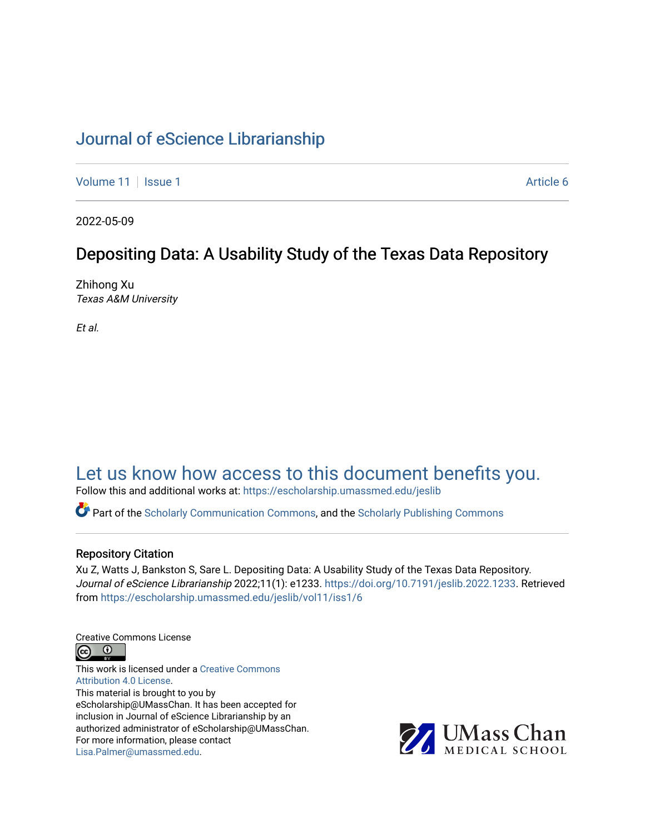## [Journal of eScience Librarianship](https://escholarship.umassmed.edu/jeslib)

[Volume 11](https://escholarship.umassmed.edu/jeslib/vol11) | [Issue 1](https://escholarship.umassmed.edu/jeslib/vol11/iss1) Article 6

2022-05-09

## Depositing Data: A Usability Study of the Texas Data Repository

Zhihong Xu Texas A&M University

Et al.

# [Let us know how access to this document benefits you.](https://arcsapps.umassmed.edu/redcap/surveys/?s=XWRHNF9EJE)

Follow this and additional works at: [https://escholarship.umassmed.edu/jeslib](https://escholarship.umassmed.edu/jeslib?utm_source=escholarship.umassmed.edu%2Fjeslib%2Fvol11%2Fiss1%2F6&utm_medium=PDF&utm_campaign=PDFCoverPages) 

Part of the [Scholarly Communication Commons,](http://network.bepress.com/hgg/discipline/1272?utm_source=escholarship.umassmed.edu%2Fjeslib%2Fvol11%2Fiss1%2F6&utm_medium=PDF&utm_campaign=PDFCoverPages) and the [Scholarly Publishing Commons](http://network.bepress.com/hgg/discipline/1273?utm_source=escholarship.umassmed.edu%2Fjeslib%2Fvol11%2Fiss1%2F6&utm_medium=PDF&utm_campaign=PDFCoverPages)

#### Repository Citation

Xu Z, Watts J, Bankston S, Sare L. Depositing Data: A Usability Study of the Texas Data Repository. Journal of eScience Librarianship 2022;11(1): e1233. [https://doi.org/10.7191/jeslib.2022.1233.](https://doi.org/10.7191/jeslib.2022.1233) Retrieved from [https://escholarship.umassmed.edu/jeslib/vol11/iss1/6](https://escholarship.umassmed.edu/jeslib/vol11/iss1/6?utm_source=escholarship.umassmed.edu%2Fjeslib%2Fvol11%2Fiss1%2F6&utm_medium=PDF&utm_campaign=PDFCoverPages)

Creative Commons License



This work is licensed under a [Creative Commons](https://creativecommons.org/licenses/by/4.0/) [Attribution 4.0 License.](https://creativecommons.org/licenses/by/4.0/) This material is brought to you by eScholarship@UMassChan. It has been accepted for inclusion in Journal of eScience Librarianship by an authorized administrator of eScholarship@UMassChan. For more information, please contact [Lisa.Palmer@umassmed.edu](mailto:Lisa.Palmer@umassmed.edu).

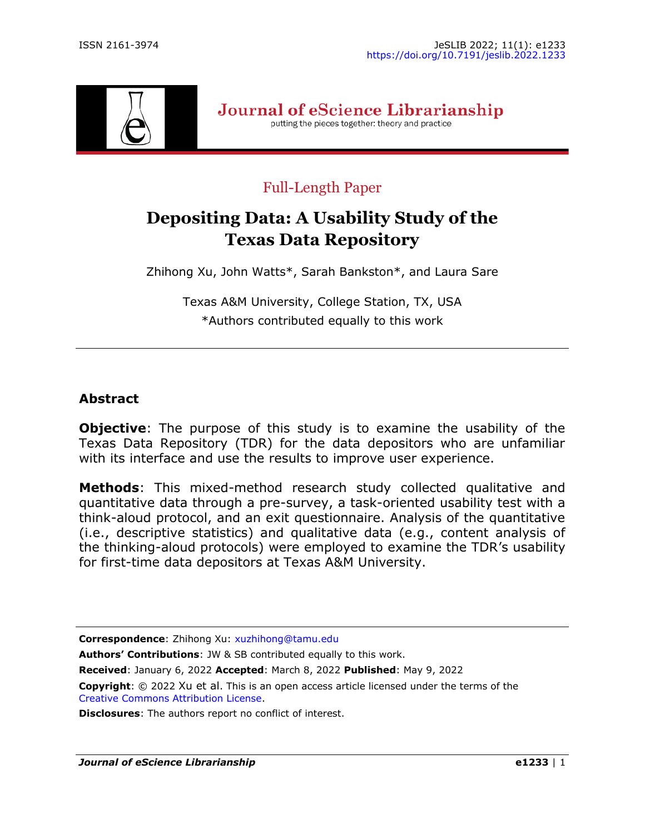

Journal of eScience Librarianship putting the pieces together: theory and practice

## Full-Length Paper

# **Depositing Data: A Usability Study of the Texas Data Repository**

Zhihong Xu, John Watts\*, Sarah Bankston\*, and Laura Sare

Texas A&M University, College Station, TX, USA \*Authors contributed equally to this work

### **Abstract**

**Objective**: The purpose of this study is to examine the usability of the Texas Data Repository (TDR) for the data depositors who are unfamiliar with its interface and use the results to improve user experience.

**Methods**: This mixed-method research study collected qualitative and quantitative data through a pre-survey, a task-oriented usability test with a think-aloud protocol, and an exit questionnaire. Analysis of the quantitative (i.e., descriptive statistics) and qualitative data (e.g., content analysis of the thinking-aloud protocols) were employed to examine the TDR's usability for first-time data depositors at Texas A&M University.

**Correspondence**: Zhihong Xu: [xuzhihong@tamu.edu](mailto:xuzhihong@tamu.edu)

**Authors' Contributions**: JW & SB contributed equally to this work.

**Received**: January 6, 2022 **Accepted**: March 8, 2022 **Published**: May 9, 2022

**Copyright**: © 2022 Xu et al. This is an open access article licensed under the terms of the [Creative Commons Attribution License.](https://creativecommons.org/licenses/by/4.0/)

**Disclosures**: The authors report no conflict of interest.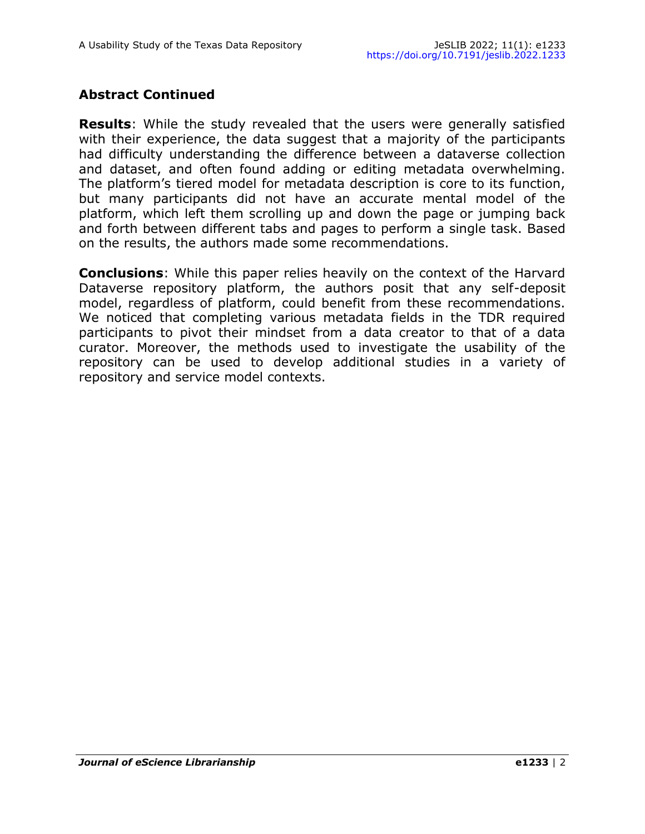## **Abstract Continued**

**Results**: While the study revealed that the users were generally satisfied with their experience, the data suggest that a majority of the participants had difficulty understanding the difference between a dataverse collection and dataset, and often found adding or editing metadata overwhelming. The platform's tiered model for metadata description is core to its function, but many participants did not have an accurate mental model of the platform, which left them scrolling up and down the page or jumping back and forth between different tabs and pages to perform a single task. Based on the results, the authors made some recommendations.

**Conclusions**: While this paper relies heavily on the context of the Harvard Dataverse repository platform, the authors posit that any self-deposit model, regardless of platform, could benefit from these recommendations. We noticed that completing various metadata fields in the TDR required participants to pivot their mindset from a data creator to that of a data curator. Moreover, the methods used to investigate the usability of the repository can be used to develop additional studies in a variety of repository and service model contexts.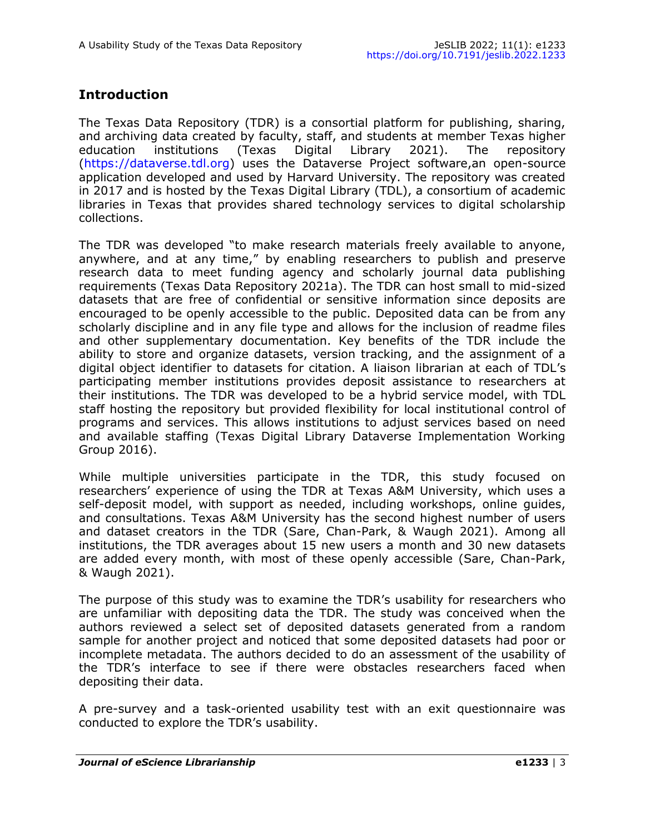## **Introduction**

The Texas Data Repository (TDR) is a consortial platform for publishing, sharing, and archiving data created by faculty, staff, and students at member Texas higher education institutions (Texas Digital Library 2021). The repository ([https://dataverse.tdl.org\)](https://dataverse.tdl.org) uses the Dataverse Project software,an open-source application developed and used by Harvard University. The repository was created in 2017 and is hosted by the Texas Digital Library (TDL), a consortium of academic libraries in Texas that provides shared technology services to digital scholarship collections.

The TDR was developed "to make research materials freely available to anyone, anywhere, and at any time," by enabling researchers to publish and preserve research data to meet funding agency and scholarly journal data publishing requirements (Texas Data Repository 2021a). The TDR can host small to mid-sized datasets that are free of confidential or sensitive information since deposits are encouraged to be openly accessible to the public. Deposited data can be from any scholarly discipline and in any file type and allows for the inclusion of readme files and other supplementary documentation. Key benefits of the TDR include the ability to store and organize datasets, version tracking, and the assignment of a digital object identifier to datasets for citation. A liaison librarian at each of TDL's participating member institutions provides deposit assistance to researchers at their institutions. The TDR was developed to be a hybrid service model, with TDL staff hosting the repository but provided flexibility for local institutional control of programs and services. This allows institutions to adjust services based on need and available staffing (Texas Digital Library Dataverse Implementation Working Group 2016).

While multiple universities participate in the TDR, this study focused on researchers' experience of using the TDR at Texas A&M University, which uses a self-deposit model, with support as needed, including workshops, online guides, and consultations. Texas A&M University has the second highest number of users and dataset creators in the TDR (Sare, Chan-Park, & Waugh 2021). Among all institutions, the TDR averages about 15 new users a month and 30 new datasets are added every month, with most of these openly accessible (Sare, Chan-Park, & Waugh 2021).

The purpose of this study was to examine the TDR's usability for researchers who are unfamiliar with depositing data the TDR. The study was conceived when the authors reviewed a select set of deposited datasets generated from a random sample for another project and noticed that some deposited datasets had poor or incomplete metadata. The authors decided to do an assessment of the usability of the TDR's interface to see if there were obstacles researchers faced when depositing their data.

A pre-survey and a task-oriented usability test with an exit questionnaire was conducted to explore the TDR's usability.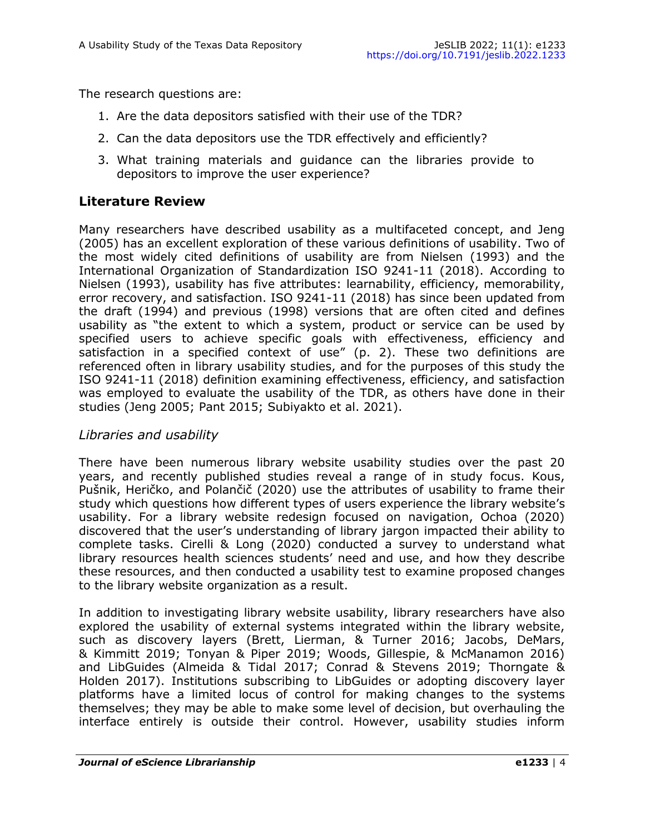The research questions are:

- 1. Are the data depositors satisfied with their use of the TDR?
- 2. Can the data depositors use the TDR effectively and efficiently?
- 3. What training materials and guidance can the libraries provide to depositors to improve the user experience?

## **Literature Review**

Many researchers have described usability as a multifaceted concept, and Jeng (2005) has an excellent exploration of these various definitions of usability. Two of the most widely cited definitions of usability are from Nielsen (1993) and the International Organization of Standardization ISO 9241-11 (2018). According to Nielsen (1993), usability has five attributes: learnability, efficiency, memorability, error recovery, and satisfaction. ISO 9241-11 (2018) has since been updated from the draft (1994) and previous (1998) versions that are often cited and defines usability as "the extent to which a system, product or service can be used by specified users to achieve specific goals with effectiveness, efficiency and satisfaction in a specified context of use" (p. 2). These two definitions are referenced often in library usability studies, and for the purposes of this study the ISO 9241-11 (2018) definition examining effectiveness, efficiency, and satisfaction was employed to evaluate the usability of the TDR, as others have done in their studies (Jeng 2005; Pant 2015; Subiyakto et al. 2021).

#### *Libraries and usability*

There have been numerous library website usability studies over the past 20 years, and recently published studies reveal a range of in study focus. Kous, Pušnik, Heričko, and Polančič (2020) use the attributes of usability to frame their study which questions how different types of users experience the library website's usability. For a library website redesign focused on navigation, Ochoa (2020) discovered that the user's understanding of library jargon impacted their ability to complete tasks. Cirelli & Long (2020) conducted a survey to understand what library resources health sciences students' need and use, and how they describe these resources, and then conducted a usability test to examine proposed changes to the library website organization as a result.

In addition to investigating library website usability, library researchers have also explored the usability of external systems integrated within the library website, such as discovery layers (Brett, Lierman, & Turner 2016; Jacobs, DeMars, & Kimmitt 2019; Tonyan & Piper 2019; Woods, Gillespie, & McManamon 2016) and LibGuides (Almeida & Tidal 2017; Conrad & Stevens 2019; Thorngate & Holden 2017). Institutions subscribing to LibGuides or adopting discovery layer platforms have a limited locus of control for making changes to the systems themselves; they may be able to make some level of decision, but overhauling the interface entirely is outside their control. However, usability studies inform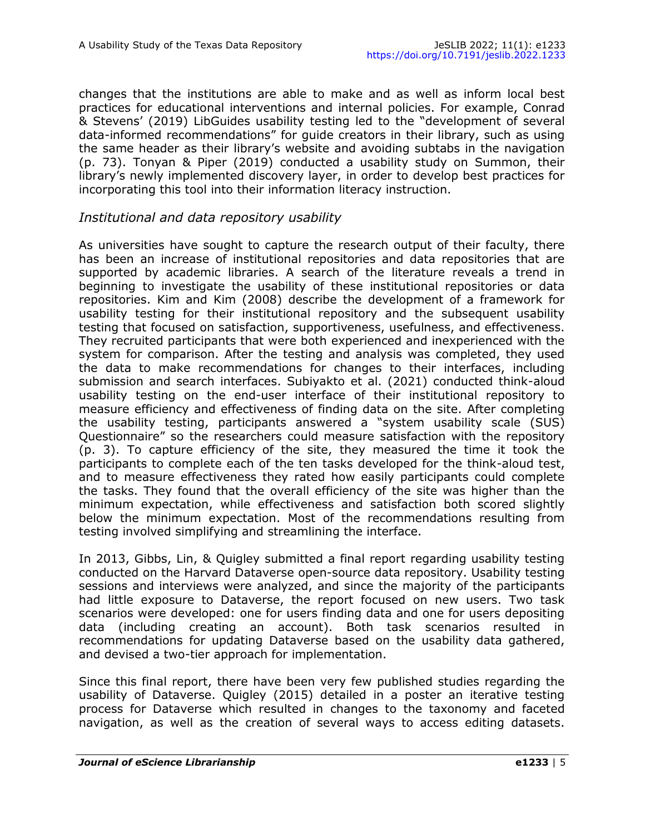changes that the institutions are able to make and as well as inform local best practices for educational interventions and internal policies. For example, Conrad & Stevens' (2019) LibGuides usability testing led to the "development of several data-informed recommendations" for guide creators in their library, such as using the same header as their library's website and avoiding subtabs in the navigation (p. 73). Tonyan & Piper (2019) conducted a usability study on Summon, their library's newly implemented discovery layer, in order to develop best practices for incorporating this tool into their information literacy instruction.

#### *Institutional and data repository usability*

As universities have sought to capture the research output of their faculty, there has been an increase of institutional repositories and data repositories that are supported by academic libraries. A search of the literature reveals a trend in beginning to investigate the usability of these institutional repositories or data repositories. Kim and Kim (2008) describe the development of a framework for usability testing for their institutional repository and the subsequent usability testing that focused on satisfaction, supportiveness, usefulness, and effectiveness. They recruited participants that were both experienced and inexperienced with the system for comparison. After the testing and analysis was completed, they used the data to make recommendations for changes to their interfaces, including submission and search interfaces. Subiyakto et al. (2021) conducted think-aloud usability testing on the end-user interface of their institutional repository to measure efficiency and effectiveness of finding data on the site. After completing the usability testing, participants answered a "system usability scale (SUS) Questionnaire" so the researchers could measure satisfaction with the repository (p. 3). To capture efficiency of the site, they measured the time it took the participants to complete each of the ten tasks developed for the think-aloud test, and to measure effectiveness they rated how easily participants could complete the tasks. They found that the overall efficiency of the site was higher than the minimum expectation, while effectiveness and satisfaction both scored slightly below the minimum expectation. Most of the recommendations resulting from testing involved simplifying and streamlining the interface.

In 2013, Gibbs, Lin, & Quigley submitted a final report regarding usability testing conducted on the Harvard Dataverse open-source data repository. Usability testing sessions and interviews were analyzed, and since the majority of the participants had little exposure to Dataverse, the report focused on new users. Two task scenarios were developed: one for users finding data and one for users depositing data (including creating an account). Both task scenarios resulted in recommendations for updating Dataverse based on the usability data gathered, and devised a two-tier approach for implementation.

Since this final report, there have been very few published studies regarding the usability of Dataverse. Quigley (2015) detailed in a poster an iterative testing process for Dataverse which resulted in changes to the taxonomy and faceted navigation, as well as the creation of several ways to access editing datasets.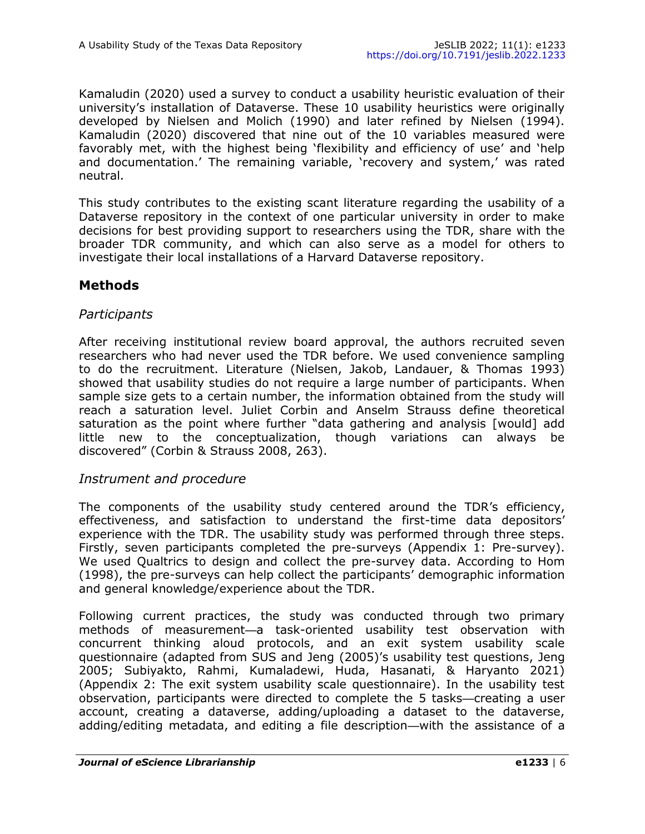Kamaludin (2020) used a survey to conduct a usability heuristic evaluation of their university's installation of Dataverse. These 10 usability heuristics were originally developed by Nielsen and Molich (1990) and later refined by Nielsen (1994). Kamaludin (2020) discovered that nine out of the 10 variables measured were favorably met, with the highest being 'flexibility and efficiency of use' and 'help and documentation.' The remaining variable, 'recovery and system,' was rated neutral.

This study contributes to the existing scant literature regarding the usability of a Dataverse repository in the context of one particular university in order to make decisions for best providing support to researchers using the TDR, share with the broader TDR community, and which can also serve as a model for others to investigate their local installations of a Harvard Dataverse repository.

### **Methods**

#### *Participants*

After receiving institutional review board approval, the authors recruited seven researchers who had never used the TDR before. We used convenience sampling to do the recruitment. Literature (Nielsen, Jakob, Landauer, & Thomas 1993) showed that usability studies do not require a large number of participants. When sample size gets to a certain number, the information obtained from the study will reach a saturation level. Juliet Corbin and Anselm Strauss define theoretical saturation as the point where further "data gathering and analysis [would] add little new to the conceptualization, though variations can always be discovered" (Corbin & Strauss 2008, 263).

#### *Instrument and procedure*

The components of the usability study centered around the TDR's efficiency, effectiveness, and satisfaction to understand the first-time data depositors' experience with the TDR. The usability study was performed through three steps. Firstly, seven participants completed the pre-surveys (Appendix 1: Pre-survey). We used Qualtrics to design and collect the pre-survey data. According to Hom (1998), the pre-surveys can help collect the participants' demographic information and general knowledge/experience about the TDR.

Following current practices, the study was conducted through two primary methods of measurement—a task-oriented usability test observation with concurrent thinking aloud protocols, and an exit system usability scale questionnaire (adapted from SUS and Jeng (2005)'s usability test questions, Jeng 2005; Subiyakto, Rahmi, Kumaladewi, Huda, Hasanati, & Haryanto 2021) (Appendix 2: The exit system usability scale questionnaire). In the usability test observation, participants were directed to complete the 5 tasks—creating a user account, creating a dataverse, adding/uploading a dataset to the dataverse, adding/editing metadata, and editing a file description—with the assistance of a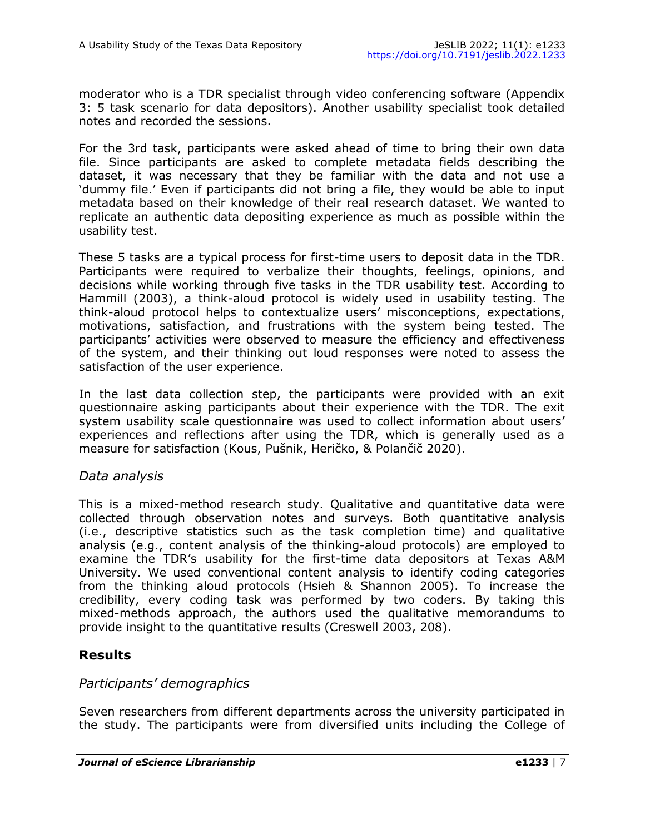moderator who is a TDR specialist through video conferencing software (Appendix 3: 5 task scenario for data depositors). Another usability specialist took detailed notes and recorded the sessions.

For the 3rd task, participants were asked ahead of time to bring their own data file. Since participants are asked to complete metadata fields describing the dataset, it was necessary that they be familiar with the data and not use a 'dummy file.' Even if participants did not bring a file, they would be able to input metadata based on their knowledge of their real research dataset. We wanted to replicate an authentic data depositing experience as much as possible within the usability test.

These 5 tasks are a typical process for first-time users to deposit data in the TDR. Participants were required to verbalize their thoughts, feelings, opinions, and decisions while working through five tasks in the TDR usability test. According to Hammill (2003), a think-aloud protocol is widely used in usability testing. The think-aloud protocol helps to contextualize users' misconceptions, expectations, motivations, satisfaction, and frustrations with the system being tested. The participants' activities were observed to measure the efficiency and effectiveness of the system, and their thinking out loud responses were noted to assess the satisfaction of the user experience.

In the last data collection step, the participants were provided with an exit questionnaire asking participants about their experience with the TDR. The exit system usability scale questionnaire was used to collect information about users' experiences and reflections after using the TDR, which is generally used as a measure for satisfaction (Kous, Pušnik, Heričko, & Polančič 2020).

#### *Data analysis*

This is a mixed-method research study. Qualitative and quantitative data were collected through observation notes and surveys. Both quantitative analysis (i.e., descriptive statistics such as the task completion time) and qualitative analysis (e.g., content analysis of the thinking-aloud protocols) are employed to examine the TDR's usability for the first-time data depositors at Texas A&M University. We used conventional content analysis to identify coding categories from the thinking aloud protocols (Hsieh & Shannon 2005). To increase the credibility, every coding task was performed by two coders. By taking this mixed-methods approach, the authors used the qualitative memorandums to provide insight to the quantitative results (Creswell 2003, 208).

#### **Results**

#### *Participants' demographics*

Seven researchers from different departments across the university participated in the study. The participants were from diversified units including the College of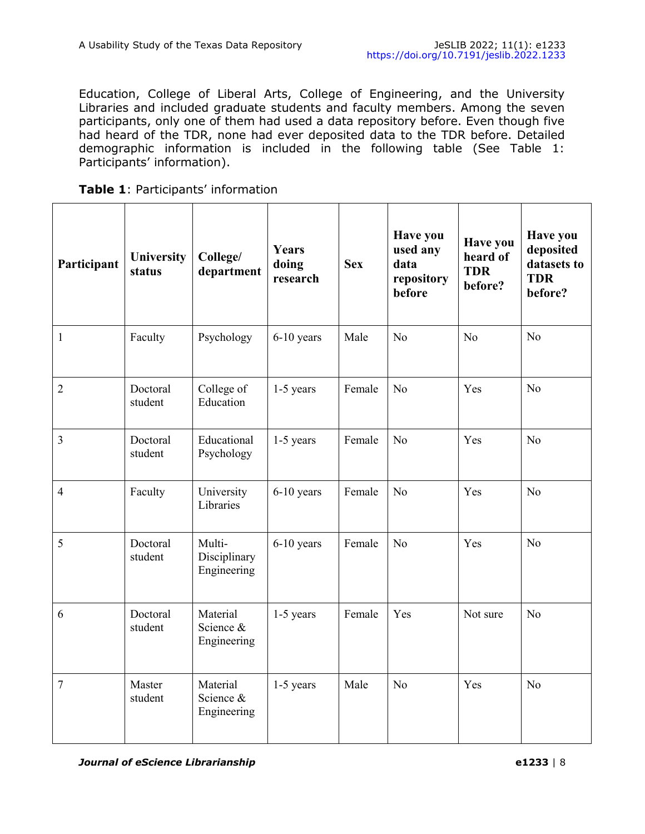Education, College of Liberal Arts, College of Engineering, and the University Libraries and included graduate students and faculty members. Among the seven participants, only one of them had used a data repository before. Even though five had heard of the TDR, none had ever deposited data to the TDR before. Detailed demographic information is included in the following table (See Table 1: Participants' information).

| Table 1: Participants' information |  |  |  |  |
|------------------------------------|--|--|--|--|
|------------------------------------|--|--|--|--|

| Participant    | <b>University</b><br>status | College/<br>department                | Years<br>doing<br>research | <b>Sex</b> | Have you<br>used any<br>data<br>repository<br>before | <b>Have you</b><br>heard of<br><b>TDR</b><br>before? | <b>Have you</b><br>deposited<br>datasets to<br><b>TDR</b><br>before? |
|----------------|-----------------------------|---------------------------------------|----------------------------|------------|------------------------------------------------------|------------------------------------------------------|----------------------------------------------------------------------|
| $\mathbf{1}$   | Faculty                     | Psychology                            | $6-10$ years               | Male       | No                                                   | N <sub>o</sub>                                       | N <sub>o</sub>                                                       |
| $\overline{2}$ | Doctoral<br>student         | College of<br>Education               | $1-5$ years                | Female     | N <sub>o</sub>                                       | Yes                                                  | N <sub>o</sub>                                                       |
| 3              | Doctoral<br>student         | Educational<br>Psychology             | $1-5$ years                | Female     | N <sub>o</sub>                                       | Yes                                                  | N <sub>o</sub>                                                       |
| $\overline{4}$ | Faculty                     | University<br>Libraries               | $6-10$ years               | Female     | N <sub>o</sub>                                       | Yes                                                  | N <sub>o</sub>                                                       |
| 5              | Doctoral<br>student         | Multi-<br>Disciplinary<br>Engineering | $6-10$ years               | Female     | N <sub>o</sub>                                       | Yes                                                  | N <sub>o</sub>                                                       |
| 6              | Doctoral<br>student         | Material<br>Science &<br>Engineering  | 1-5 years                  | Female     | Yes                                                  | Not sure                                             | N <sub>o</sub>                                                       |
| 7              | Master<br>student           | Material<br>Science &<br>Engineering  | $1-5$ years                | Male       | N <sub>o</sub>                                       | Yes                                                  | N <sub>o</sub>                                                       |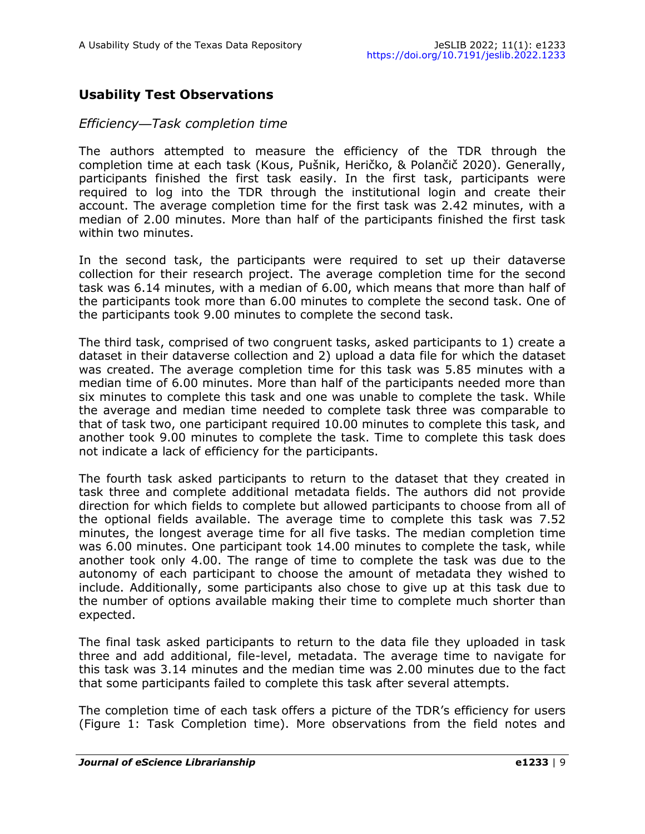## **Usability Test Observations**

#### *Efficiency—Task completion time*

The authors attempted to measure the efficiency of the TDR through the completion time at each task (Kous, Pušnik, Heričko, & Polančič 2020). Generally, participants finished the first task easily. In the first task, participants were required to log into the TDR through the institutional login and create their account. The average completion time for the first task was 2.42 minutes, with a median of 2.00 minutes. More than half of the participants finished the first task within two minutes.

In the second task, the participants were required to set up their dataverse collection for their research project. The average completion time for the second task was 6.14 minutes, with a median of 6.00, which means that more than half of the participants took more than 6.00 minutes to complete the second task. One of the participants took 9.00 minutes to complete the second task.

The third task, comprised of two congruent tasks, asked participants to 1) create a dataset in their dataverse collection and 2) upload a data file for which the dataset was created. The average completion time for this task was 5.85 minutes with a median time of 6.00 minutes. More than half of the participants needed more than six minutes to complete this task and one was unable to complete the task. While the average and median time needed to complete task three was comparable to that of task two, one participant required 10.00 minutes to complete this task, and another took 9.00 minutes to complete the task. Time to complete this task does not indicate a lack of efficiency for the participants.

The fourth task asked participants to return to the dataset that they created in task three and complete additional metadata fields. The authors did not provide direction for which fields to complete but allowed participants to choose from all of the optional fields available. The average time to complete this task was 7.52 minutes, the longest average time for all five tasks. The median completion time was 6.00 minutes. One participant took 14.00 minutes to complete the task, while another took only 4.00. The range of time to complete the task was due to the autonomy of each participant to choose the amount of metadata they wished to include. Additionally, some participants also chose to give up at this task due to the number of options available making their time to complete much shorter than expected.

The final task asked participants to return to the data file they uploaded in task three and add additional, file-level, metadata. The average time to navigate for this task was 3.14 minutes and the median time was 2.00 minutes due to the fact that some participants failed to complete this task after several attempts.

The completion time of each task offers a picture of the TDR's efficiency for users (Figure 1: Task Completion time). More observations from the field notes and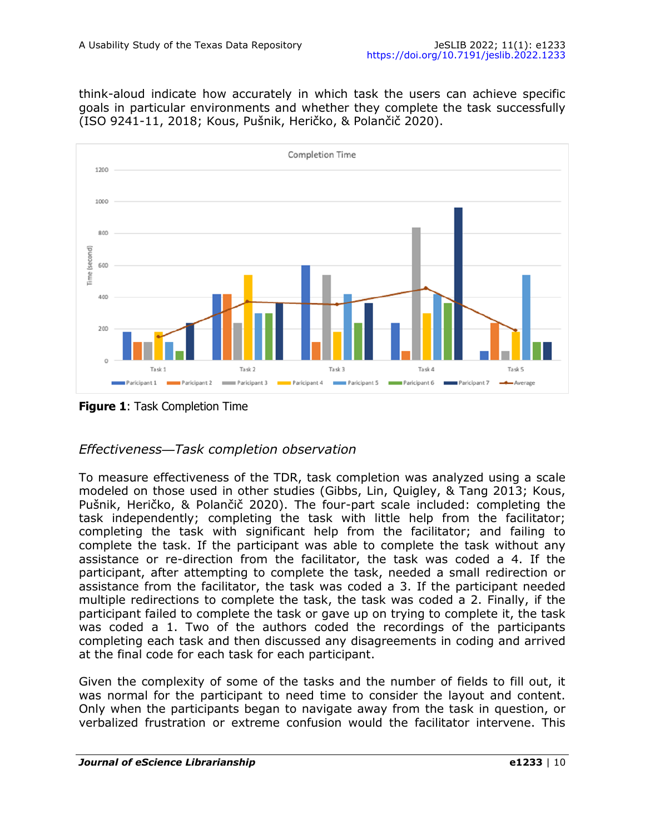think-aloud indicate how accurately in which task the users can achieve specific goals in particular environments and whether they complete the task successfully (ISO 9241-11, 2018; Kous, Pušnik, Heričko, & Polančič 2020).



**Figure 1: Task Completion Time** 

## *Effectiveness—Task completion observation*

To measure effectiveness of the TDR, task completion was analyzed using a scale modeled on those used in other studies (Gibbs, Lin, Quigley, & Tang 2013; Kous, Pušnik, Heričko, & Polančič 2020). The four-part scale included: completing the task independently; completing the task with little help from the facilitator; completing the task with significant help from the facilitator; and failing to complete the task. If the participant was able to complete the task without any assistance or re-direction from the facilitator, the task was coded a 4. If the participant, after attempting to complete the task, needed a small redirection or assistance from the facilitator, the task was coded a 3. If the participant needed multiple redirections to complete the task, the task was coded a 2. Finally, if the participant failed to complete the task or gave up on trying to complete it, the task was coded a 1. Two of the authors coded the recordings of the participants completing each task and then discussed any disagreements in coding and arrived at the final code for each task for each participant.

Given the complexity of some of the tasks and the number of fields to fill out, it was normal for the participant to need time to consider the layout and content. Only when the participants began to navigate away from the task in question, or verbalized frustration or extreme confusion would the facilitator intervene. This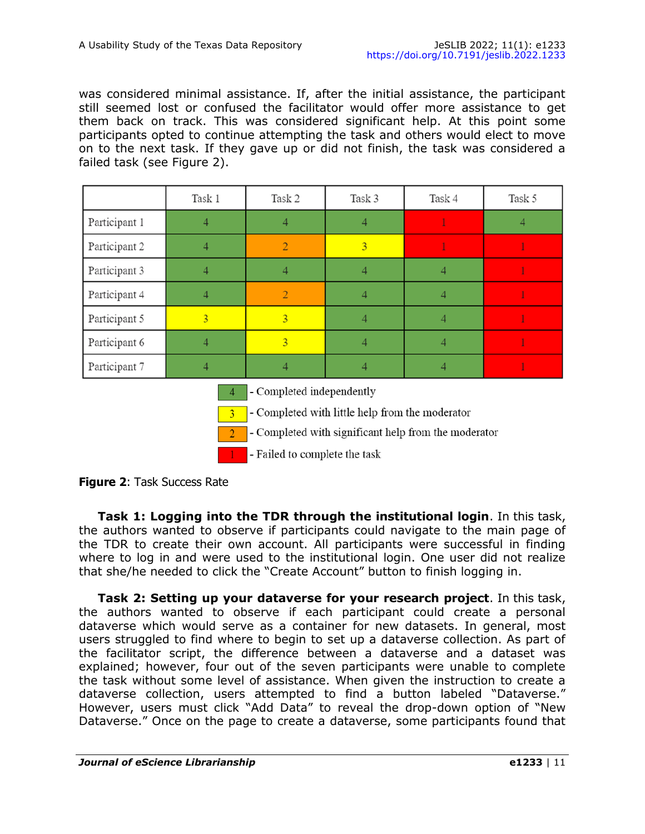was considered minimal assistance. If, after the initial assistance, the participant still seemed lost or confused the facilitator would offer more assistance to get them back on track. This was considered significant help. At this point some participants opted to continue attempting the task and others would elect to move on to the next task. If they gave up or did not finish, the task was considered a failed task (see Figure 2).

|               | Task 1         | Task 2                    | Task 3         | Task 4 | Task 5 |
|---------------|----------------|---------------------------|----------------|--------|--------|
| Participant 1 |                | 4                         |                |        |        |
| Participant 2 |                | $\overline{2}$            | $\overline{3}$ |        |        |
| Participant 3 |                | Δ                         | 4              |        |        |
| Participant 4 |                | $\overline{2}$            | 4              |        |        |
| Participant 5 | $\overline{3}$ | $\overline{3}$            |                |        |        |
| Participant 6 |                | $\overline{3}$            | 4              |        |        |
| Participant 7 |                |                           |                |        |        |
|               |                | - Completed independently |                |        |        |

- Completed with little help from the moderator

- Completed with significant help from the moderator

- Failed to complete the task

**Figure 2**: Task Success Rate

**Task 1: Logging into the TDR through the institutional login**. In this task, the authors wanted to observe if participants could navigate to the main page of the TDR to create their own account. All participants were successful in finding where to log in and were used to the institutional login. One user did not realize that she/he needed to click the "Create Account" button to finish logging in.

**Task 2: Setting up your dataverse for your research project**. In this task, the authors wanted to observe if each participant could create a personal dataverse which would serve as a container for new datasets. In general, most users struggled to find where to begin to set up a dataverse collection. As part of the facilitator script, the difference between a dataverse and a dataset was explained; however, four out of the seven participants were unable to complete the task without some level of assistance. When given the instruction to create a dataverse collection, users attempted to find a button labeled "Dataverse." However, users must click "Add Data" to reveal the drop-down option of "New Dataverse." Once on the page to create a dataverse, some participants found that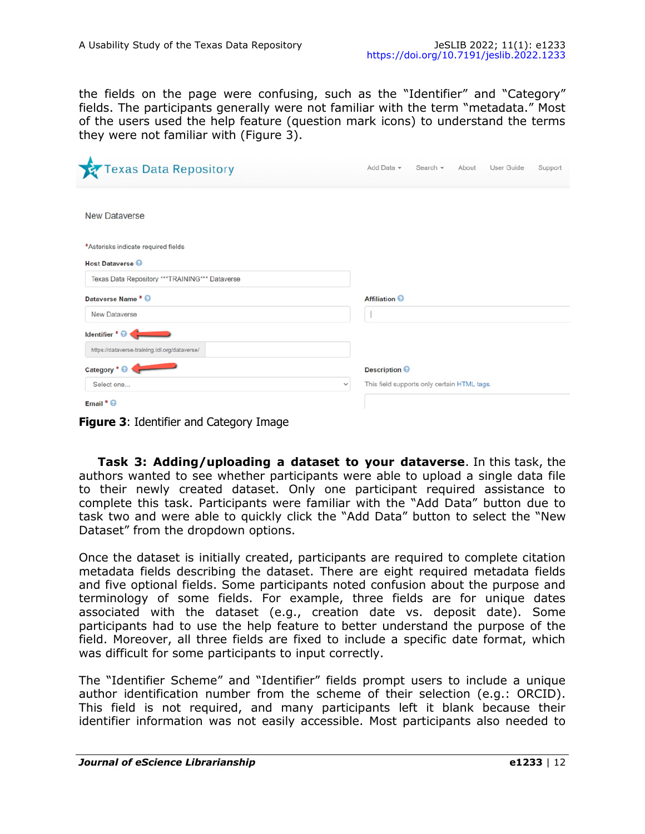the fields on the page were confusing, such as the "Identifier" and "Category" fields. The participants generally were not familiar with the term "metadata." Most of the users used the help feature (question mark icons) to understand the terms they were not familiar with (Figure 3).

| <b>Texas Data Repository</b>                    | Add Data $\sim$                             | Search $\star$ | About | User Guide | Support |
|-------------------------------------------------|---------------------------------------------|----------------|-------|------------|---------|
|                                                 |                                             |                |       |            |         |
| <b>New Dataverse</b>                            |                                             |                |       |            |         |
| *Asterisks indicate required fields             |                                             |                |       |            |         |
| <b>Host Dataverse</b>                           |                                             |                |       |            |         |
| Texas Data Repository *** TRAINING*** Dataverse |                                             |                |       |            |         |
| Dataverse Name * @                              | <b>Affiliation @</b>                        |                |       |            |         |
| <b>New Dataverse</b>                            |                                             |                |       |            |         |
| Identifier * @                                  |                                             |                |       |            |         |
| https://dataverse-training.tdl.org/dataverse/   |                                             |                |       |            |         |
| Category * <sup>®</sup>                         | Description <sup>@</sup>                    |                |       |            |         |
| Select one<br>$\checkmark$                      | This field supports only certain HTML tags. |                |       |            |         |
| Email $\bullet$ $\bullet$                       |                                             |                |       |            |         |

**Figure 3**: Identifier and Category Image

**Task 3: Adding/uploading a dataset to your dataverse**. In this task, the authors wanted to see whether participants were able to upload a single data file to their newly created dataset. Only one participant required assistance to complete this task. Participants were familiar with the "Add Data" button due to task two and were able to quickly click the "Add Data" button to select the "New Dataset" from the dropdown options.

Once the dataset is initially created, participants are required to complete citation metadata fields describing the dataset. There are eight required metadata fields and five optional fields. Some participants noted confusion about the purpose and terminology of some fields. For example, three fields are for unique dates associated with the dataset (e.g., creation date vs. deposit date). Some participants had to use the help feature to better understand the purpose of the field. Moreover, all three fields are fixed to include a specific date format, which was difficult for some participants to input correctly.

The "Identifier Scheme" and "Identifier" fields prompt users to include a unique author identification number from the scheme of their selection (e.g.: ORCID). This field is not required, and many participants left it blank because their identifier information was not easily accessible. Most participants also needed to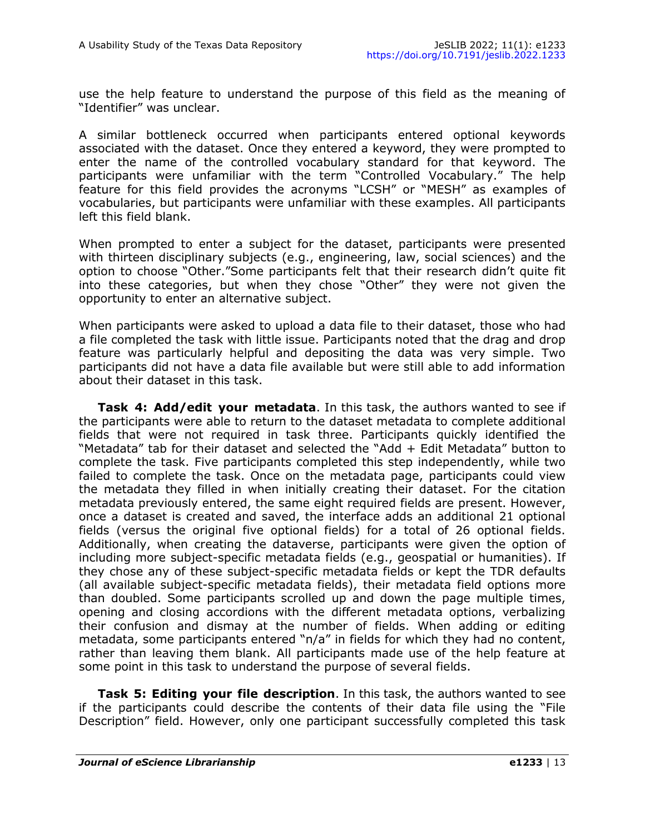use the help feature to understand the purpose of this field as the meaning of "Identifier" was unclear.

A similar bottleneck occurred when participants entered optional keywords associated with the dataset. Once they entered a keyword, they were prompted to enter the name of the controlled vocabulary standard for that keyword. The participants were unfamiliar with the term "Controlled Vocabulary." The help feature for this field provides the acronyms "LCSH" or "MESH" as examples of vocabularies, but participants were unfamiliar with these examples. All participants left this field blank.

When prompted to enter a subject for the dataset, participants were presented with thirteen disciplinary subjects (e.g., engineering, law, social sciences) and the option to choose "Other."Some participants felt that their research didn't quite fit into these categories, but when they chose "Other" they were not given the opportunity to enter an alternative subject.

When participants were asked to upload a data file to their dataset, those who had a file completed the task with little issue. Participants noted that the drag and drop feature was particularly helpful and depositing the data was very simple. Two participants did not have a data file available but were still able to add information about their dataset in this task.

**Task 4: Add/edit your metadata**. In this task, the authors wanted to see if the participants were able to return to the dataset metadata to complete additional fields that were not required in task three. Participants quickly identified the "Metadata" tab for their dataset and selected the "Add + Edit Metadata" button to complete the task. Five participants completed this step independently, while two failed to complete the task. Once on the metadata page, participants could view the metadata they filled in when initially creating their dataset. For the citation metadata previously entered, the same eight required fields are present. However, once a dataset is created and saved, the interface adds an additional 21 optional fields (versus the original five optional fields) for a total of 26 optional fields. Additionally, when creating the dataverse, participants were given the option of including more subject-specific metadata fields (e.g., geospatial or humanities). If they chose any of these subject-specific metadata fields or kept the TDR defaults (all available subject-specific metadata fields), their metadata field options more than doubled. Some participants scrolled up and down the page multiple times, opening and closing accordions with the different metadata options, verbalizing their confusion and dismay at the number of fields. When adding or editing metadata, some participants entered "n/a" in fields for which they had no content, rather than leaving them blank. All participants made use of the help feature at some point in this task to understand the purpose of several fields.

**Task 5: Editing your file description**. In this task, the authors wanted to see if the participants could describe the contents of their data file using the "File Description" field. However, only one participant successfully completed this task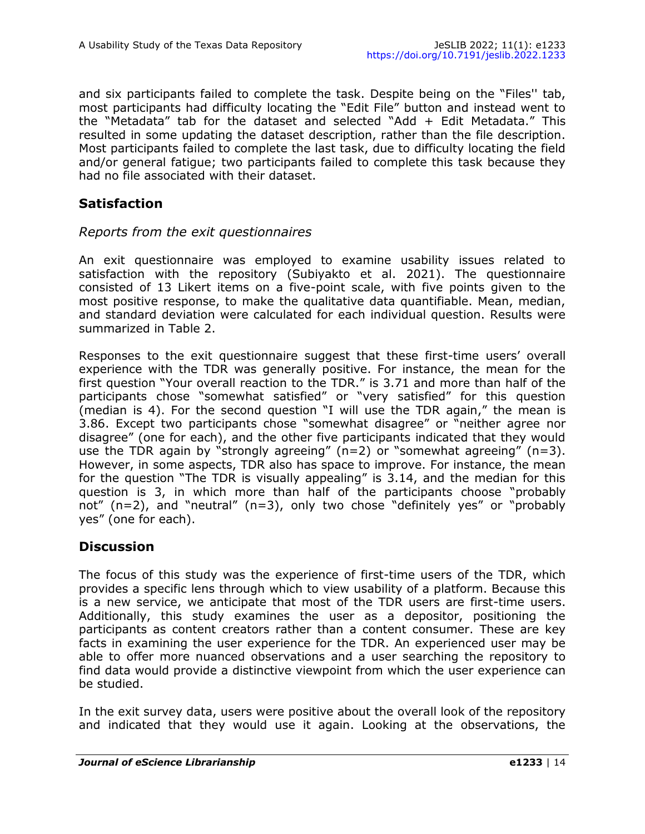and six participants failed to complete the task. Despite being on the "Files'' tab, most participants had difficulty locating the "Edit File" button and instead went to the "Metadata" tab for the dataset and selected "Add + Edit Metadata." This resulted in some updating the dataset description, rather than the file description. Most participants failed to complete the last task, due to difficulty locating the field and/or general fatigue; two participants failed to complete this task because they had no file associated with their dataset.

### **Satisfaction**

#### *Reports from the exit questionnaires*

An exit questionnaire was employed to examine usability issues related to satisfaction with the repository (Subiyakto et al. 2021). The questionnaire consisted of 13 Likert items on a five-point scale, with five points given to the most positive response, to make the qualitative data quantifiable. Mean, median, and standard deviation were calculated for each individual question. Results were summarized in Table 2.

Responses to the exit questionnaire suggest that these first-time users' overall experience with the TDR was generally positive. For instance, the mean for the first question "Your overall reaction to the TDR." is 3.71 and more than half of the participants chose "somewhat satisfied" or "very satisfied" for this question (median is 4). For the second question "I will use the TDR again," the mean is 3.86. Except two participants chose "somewhat disagree" or "neither agree nor disagree" (one for each), and the other five participants indicated that they would use the TDR again by "strongly agreeing"  $(n=2)$  or "somewhat agreeing"  $(n=3)$ . However, in some aspects, TDR also has space to improve. For instance, the mean for the question "The TDR is visually appealing" is 3.14, and the median for this question is 3, in which more than half of the participants choose "probably not" (n=2), and "neutral" (n=3), only two chose "definitely yes" or "probably yes" (one for each).

#### **Discussion**

The focus of this study was the experience of first-time users of the TDR, which provides a specific lens through which to view usability of a platform. Because this is a new service, we anticipate that most of the TDR users are first-time users. Additionally, this study examines the user as a depositor, positioning the participants as content creators rather than a content consumer. These are key facts in examining the user experience for the TDR. An experienced user may be able to offer more nuanced observations and a user searching the repository to find data would provide a distinctive viewpoint from which the user experience can be studied.

In the exit survey data, users were positive about the overall look of the repository and indicated that they would use it again. Looking at the observations, the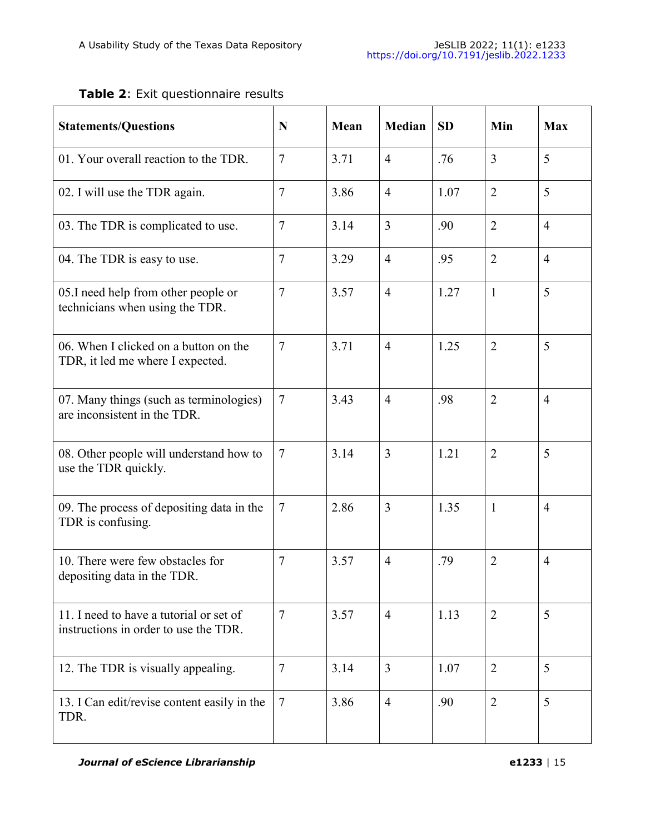## **Table 2**: Exit questionnaire results

| <b>Statements/Questions</b>                                                      | N              | Mean | <b>Median</b>  | <b>SD</b> | Min            | <b>Max</b>     |
|----------------------------------------------------------------------------------|----------------|------|----------------|-----------|----------------|----------------|
| 01. Your overall reaction to the TDR.                                            | $\overline{7}$ | 3.71 | $\overline{4}$ | .76       | $\overline{3}$ | 5              |
| 02. I will use the TDR again.                                                    | $\overline{7}$ | 3.86 | $\overline{4}$ | 1.07      | $\overline{2}$ | 5              |
| 03. The TDR is complicated to use.                                               | $\overline{7}$ | 3.14 | $\overline{3}$ | .90       | $\overline{2}$ | $\overline{4}$ |
| 04. The TDR is easy to use.                                                      | $\overline{7}$ | 3.29 | $\overline{4}$ | .95       | $\overline{2}$ | $\overline{4}$ |
| 05.I need help from other people or<br>technicians when using the TDR.           | $\overline{7}$ | 3.57 | $\overline{4}$ | 1.27      | $\mathbf{1}$   | 5              |
| 06. When I clicked on a button on the<br>TDR, it led me where I expected.        | $\overline{7}$ | 3.71 | $\overline{4}$ | 1.25      | $\overline{2}$ | 5              |
| 07. Many things (such as terminologies)<br>are inconsistent in the TDR.          | $\overline{7}$ | 3.43 | $\overline{4}$ | .98       | $\overline{2}$ | $\overline{4}$ |
| 08. Other people will understand how to<br>use the TDR quickly.                  | $\tau$         | 3.14 | 3              | 1.21      | $\overline{2}$ | 5              |
| 09. The process of depositing data in the<br>TDR is confusing.                   | $\tau$         | 2.86 | $\overline{3}$ | 1.35      | $\mathbf{1}$   | $\overline{4}$ |
| 10. There were few obstacles for<br>depositing data in the TDR.                  | 7              | 3.57 | $\overline{4}$ | .79       | $\overline{2}$ | $\overline{4}$ |
| 11. I need to have a tutorial or set of<br>instructions in order to use the TDR. | $\overline{7}$ | 3.57 | $\overline{4}$ | 1.13      | $\overline{2}$ | 5              |
| 12. The TDR is visually appealing.                                               | $\overline{7}$ | 3.14 | $\overline{3}$ | 1.07      | $\overline{2}$ | 5              |
| 13. I Can edit/revise content easily in the<br>TDR.                              | $\overline{7}$ | 3.86 | $\overline{4}$ | .90       | $\overline{2}$ | 5              |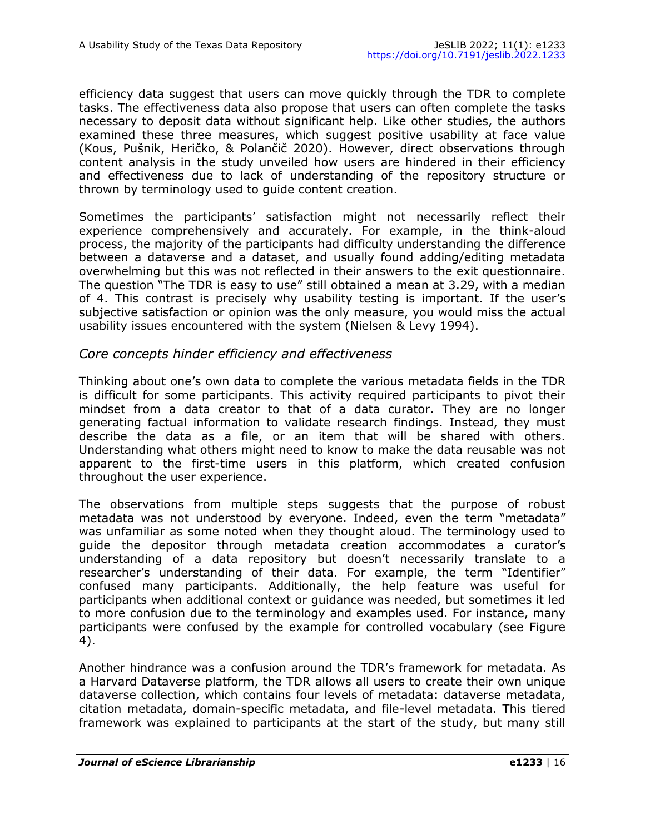efficiency data suggest that users can move quickly through the TDR to complete tasks. The effectiveness data also propose that users can often complete the tasks necessary to deposit data without significant help. Like other studies, the authors examined these three measures, which suggest positive usability at face value (Kous, Pušnik, Heričko, & Polančič 2020). However, direct observations through content analysis in the study unveiled how users are hindered in their efficiency and effectiveness due to lack of understanding of the repository structure or thrown by terminology used to guide content creation.

Sometimes the participants' satisfaction might not necessarily reflect their experience comprehensively and accurately. For example, in the think-aloud process, the majority of the participants had difficulty understanding the difference between a dataverse and a dataset, and usually found adding/editing metadata overwhelming but this was not reflected in their answers to the exit questionnaire. The question "The TDR is easy to use" still obtained a mean at 3.29, with a median of 4. This contrast is precisely why usability testing is important. If the user's subjective satisfaction or opinion was the only measure, you would miss the actual usability issues encountered with the system (Nielsen & Levy 1994).

#### *Core concepts hinder efficiency and effectiveness*

Thinking about one's own data to complete the various metadata fields in the TDR is difficult for some participants. This activity required participants to pivot their mindset from a data creator to that of a data curator. They are no longer generating factual information to validate research findings. Instead, they must describe the data as a file, or an item that will be shared with others. Understanding what others might need to know to make the data reusable was not apparent to the first-time users in this platform, which created confusion throughout the user experience.

The observations from multiple steps suggests that the purpose of robust metadata was not understood by everyone. Indeed, even the term "metadata" was unfamiliar as some noted when they thought aloud. The terminology used to guide the depositor through metadata creation accommodates a curator's understanding of a data repository but doesn't necessarily translate to a researcher's understanding of their data. For example, the term "Identifier" confused many participants. Additionally, the help feature was useful for participants when additional context or guidance was needed, but sometimes it led to more confusion due to the terminology and examples used. For instance, many participants were confused by the example for controlled vocabulary (see Figure 4).

Another hindrance was a confusion around the TDR's framework for metadata. As a Harvard Dataverse platform, the TDR allows all users to create their own unique dataverse collection, which contains four levels of metadata: dataverse metadata, citation metadata, domain-specific metadata, and file-level metadata. This tiered framework was explained to participants at the start of the study, but many still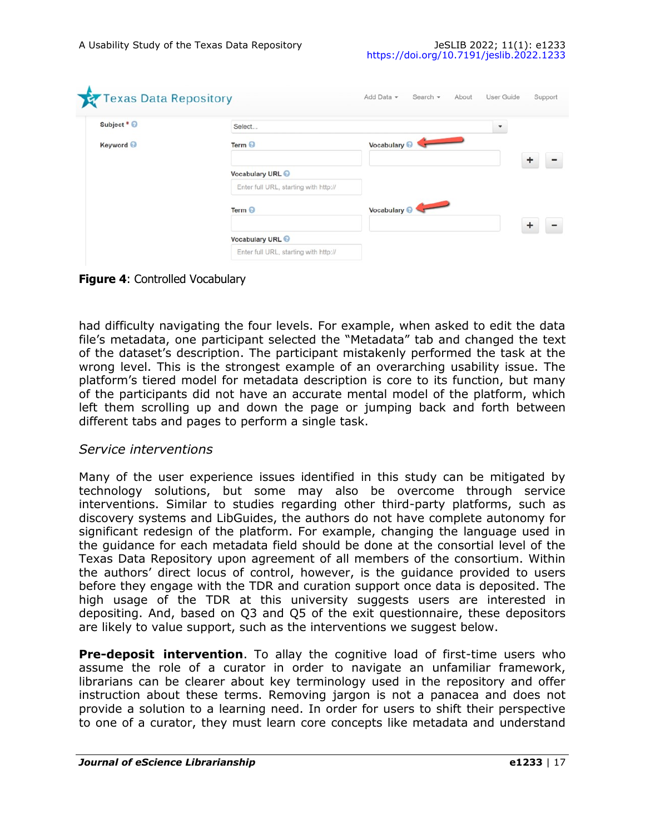| Select                                | ٠                       |  |
|---------------------------------------|-------------------------|--|
| Term $\Theta$                         | Vocabulary <sup>O</sup> |  |
| Vocabulary URL @                      |                         |  |
| Enter full URL, starting with http:// |                         |  |
| Term <sup>©</sup>                     | Vocabulary O            |  |
|                                       |                         |  |
| Vocabulary URL @                      |                         |  |
|                                       |                         |  |

**Figure 4**: Controlled Vocabulary

had difficulty navigating the four levels. For example, when asked to edit the data file's metadata, one participant selected the "Metadata" tab and changed the text of the dataset's description. The participant mistakenly performed the task at the wrong level. This is the strongest example of an overarching usability issue. The platform's tiered model for metadata description is core to its function, but many of the participants did not have an accurate mental model of the platform, which left them scrolling up and down the page or jumping back and forth between different tabs and pages to perform a single task.

#### *Service interventions*

Many of the user experience issues identified in this study can be mitigated by technology solutions, but some may also be overcome through service interventions. Similar to studies regarding other third-party platforms, such as discovery systems and LibGuides, the authors do not have complete autonomy for significant redesign of the platform. For example, changing the language used in the guidance for each metadata field should be done at the consortial level of the Texas Data Repository upon agreement of all members of the consortium. Within the authors' direct locus of control, however, is the guidance provided to users before they engage with the TDR and curation support once data is deposited. The high usage of the TDR at this university suggests users are interested in depositing. And, based on Q3 and Q5 of the exit questionnaire, these depositors are likely to value support, such as the interventions we suggest below.

**Pre-deposit intervention**. To allay the cognitive load of first-time users who assume the role of a curator in order to navigate an unfamiliar framework, librarians can be clearer about key terminology used in the repository and offer instruction about these terms. Removing jargon is not a panacea and does not provide a solution to a learning need. In order for users to shift their perspective to one of a curator, they must learn core concepts like metadata and understand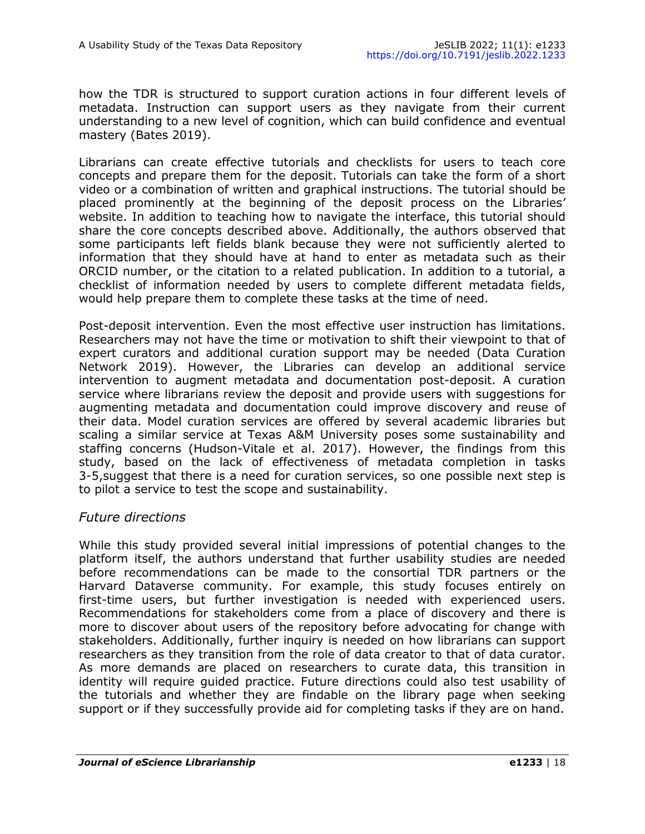how the TDR is structured to support curation actions in four different levels of metadata. Instruction can support users as they navigate from their current understanding to a new level of cognition, which can build confidence and eventual mastery (Bates 2019).

Librarians can create effective tutorials and checklists for users to teach core concepts and prepare them for the deposit. Tutorials can take the form of a short video or a combination of written and graphical instructions. The tutorial should be placed prominently at the beginning of the deposit process on the Libraries' website. In addition to teaching how to navigate the interface, this tutorial should share the core concepts described above. Additionally, the authors observed that some participants left fields blank because they were not sufficiently alerted to information that they should have at hand to enter as metadata such as their ORCID number, or the citation to a related publication. In addition to a tutorial, a checklist of information needed by users to complete different metadata fields, would help prepare them to complete these tasks at the time of need.

Post-deposit intervention. Even the most effective user instruction has limitations. Researchers may not have the time or motivation to shift their viewpoint to that of expert curators and additional curation support may be needed (Data Curation Network 2019). However, the Libraries can develop an additional service intervention to augment metadata and documentation post-deposit. A curation service where librarians review the deposit and provide users with suggestions for augmenting metadata and documentation could improve discovery and reuse of their data. Model curation services are offered by several academic libraries but scaling a similar service at Texas A&M University poses some sustainability and staffing concerns (Hudson-Vitale et al. 2017). However, the findings from this study, based on the lack of effectiveness of metadata completion in tasks 3-5,suggest that there is a need for curation services, so one possible next step is to pilot a service to test the scope and sustainability.

#### *Future directions*

While this study provided several initial impressions of potential changes to the platform itself, the authors understand that further usability studies are needed before recommendations can be made to the consortial TDR partners or the Harvard Dataverse community. For example, this study focuses entirely on first-time users, but further investigation is needed with experienced users. Recommendations for stakeholders come from a place of discovery and there is more to discover about users of the repository before advocating for change with stakeholders. Additionally, further inquiry is needed on how librarians can support researchers as they transition from the role of data creator to that of data curator. As more demands are placed on researchers to curate data, this transition in identity will require guided practice. Future directions could also test usability of the tutorials and whether they are findable on the library page when seeking support or if they successfully provide aid for completing tasks if they are on hand.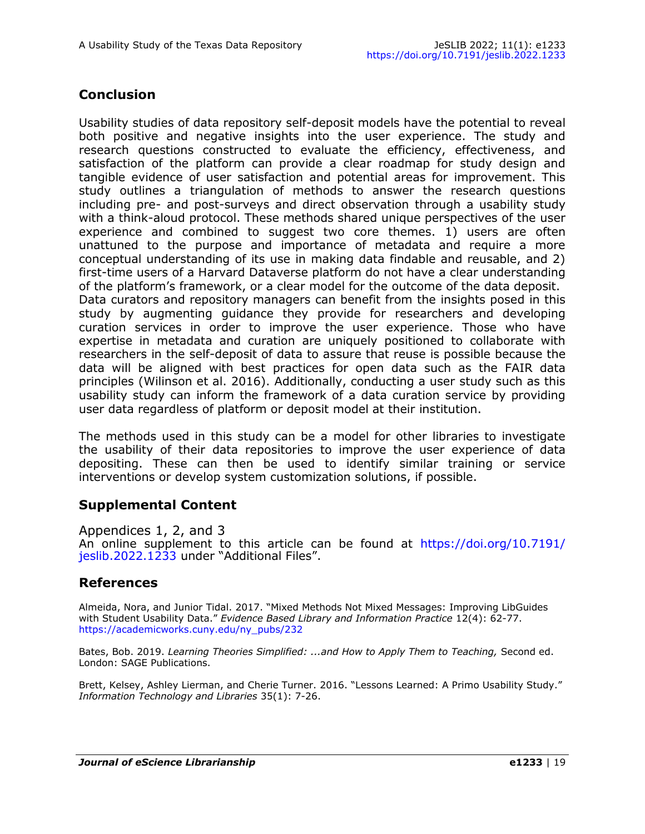## **Conclusion**

Usability studies of data repository self-deposit models have the potential to reveal both positive and negative insights into the user experience. The study and research questions constructed to evaluate the efficiency, effectiveness, and satisfaction of the platform can provide a clear roadmap for study design and tangible evidence of user satisfaction and potential areas for improvement. This study outlines a triangulation of methods to answer the research questions including pre- and post-surveys and direct observation through a usability study with a think-aloud protocol. These methods shared unique perspectives of the user experience and combined to suggest two core themes. 1) users are often unattuned to the purpose and importance of metadata and require a more conceptual understanding of its use in making data findable and reusable, and 2) first-time users of a Harvard Dataverse platform do not have a clear understanding of the platform's framework, or a clear model for the outcome of the data deposit. Data curators and repository managers can benefit from the insights posed in this study by augmenting guidance they provide for researchers and developing curation services in order to improve the user experience. Those who have expertise in metadata and curation are uniquely positioned to collaborate with researchers in the self-deposit of data to assure that reuse is possible because the data will be aligned with best practices for open data such as the FAIR data principles (Wilinson et al. 2016). Additionally, conducting a user study such as this usability study can inform the framework of a data curation service by providing user data regardless of platform or deposit model at their institution.

The methods used in this study can be a model for other libraries to investigate the usability of their data repositories to improve the user experience of data depositing. These can then be used to identify similar training or service interventions or develop system customization solutions, if possible.

#### **Supplemental Content**

Appendices 1, 2, and 3 An online supplement to this article can be found at [https://doi.org/10.7191/](https://doi.org/10.7191/jeslib.2022.1233) [jeslib.2022.1233](https://doi.org/10.7191/jeslib.2022.1233) under "Additional Files".

## **References**

Almeida, Nora, and Junior Tidal. 2017. "Mixed Methods Not Mixed Messages: Improving LibGuides with Student Usability Data." *Evidence Based Library and Information Practice* 12(4): 62-77. [https://academicworks.cuny.edu/ny\\_pubs/232](https://academicworks.cuny.edu/ny_pubs/232)

Bates, Bob. 2019. *Learning Theories Simplified: ...and How to Apply Them to Teaching,* Second ed. London: SAGE Publications.

Brett, Kelsey, Ashley Lierman, and Cherie Turner. 2016. "Lessons Learned: A Primo Usability Study." *Information Technology and Libraries* 35(1): 7-26.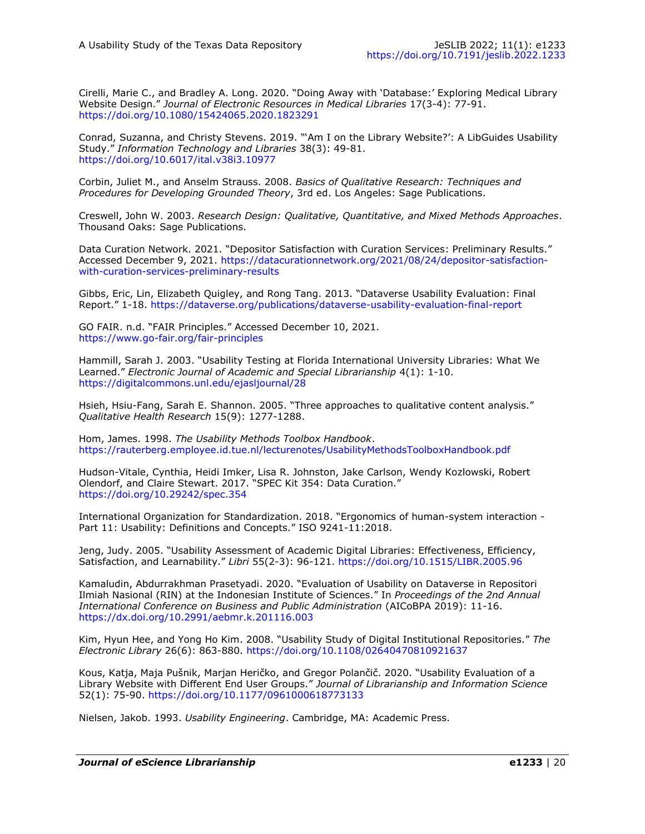Cirelli, Marie C., and Bradley A. Long. 2020. "Doing Away with 'Database:' Exploring Medical Library Website Design." *Journal of Electronic Resources in Medical Libraries* 17(3-4): 77-91. <https://doi.org/10.1080/15424065.2020.1823291>

Conrad, Suzanna, and Christy Stevens. 2019. "'Am I on the Library Website?': A LibGuides Usability Study." *Information Technology and Libraries* 38(3): 49-81. <https://doi.org/10.6017/ital.v38i3.10977>

Corbin, Juliet M., and Anselm Strauss. 2008. *Basics of Qualitative Research: Techniques and Procedures for Developing Grounded Theory*, 3rd ed. Los Angeles: Sage Publications.

Creswell, John W. 2003. *Research Design: Qualitative, Quantitative, and Mixed Methods Approaches*. Thousand Oaks: Sage Publications.

Data Curation Network. 2021. "Depositor Satisfaction with Curation Services: Preliminary Results." Accessed December 9, 2021. [https://datacurationnetwork.org/2021/08/24/depositor](https://datacurationnetwork.org/2021/08/24/depositor-satisfaction-with-curation-services-preliminary-results)-satisfactionwith-curation-services-[preliminary](https://datacurationnetwork.org/2021/08/24/depositor-satisfaction-with-curation-services-preliminary-results)-results

Gibbs, Eric, Lin, Elizabeth Quigley, and Rong Tang. 2013. "Dataverse Usability Evaluation: Final Report." 1-18. [https://dataverse.org/publications/dataverse](https://dataverse.org/publications/dataverse-usability-evaluation-final-report)-usability-evaluation-final-report

GO FAIR. n.d. "FAIR Principles." Accessed December 10, 2021. [https://www.go](https://www.go-fair.org/fair-principles)-fair.org/fair-principles

Hammill, Sarah J. 2003. "Usability Testing at Florida International University Libraries: What We Learned." *Electronic Journal of Academic and Special Librarianship* 4(1): 1-10. <https://digitalcommons.unl.edu/ejasljournal/28>

Hsieh, Hsiu-Fang, Sarah E. Shannon. 2005. "Three approaches to qualitative content analysis." *Qualitative Health Research* 15(9): 1277-1288.

Hom, James. 1998. *The Usability Methods Toolbox Handbook*. <https://rauterberg.employee.id.tue.nl/lecturenotes/UsabilityMethodsToolboxHandbook.pdf>

Hudson-Vitale, Cynthia, Heidi Imker, Lisa R. Johnston, Jake Carlson, Wendy Kozlowski, Robert Olendorf, and Claire Stewart. 2017. "SPEC Kit 354: Data Curation." <https://doi.org/10.29242/spec.354>

International Organization for Standardization. 2018. "Ergonomics of human-system interaction - Part 11: Usability: Definitions and Concepts." ISO 9241-11:2018.

Jeng, Judy. 2005. "Usability Assessment of Academic Digital Libraries: Effectiveness, Efficiency, Satisfaction, and Learnability." *Libri* 55(2-3): 96-121.<https://doi.org/10.1515/LIBR.2005.96>

Kamaludin, Abdurrakhman Prasetyadi. 2020. "Evaluation of Usability on Dataverse in Repositori Ilmiah Nasional (RIN) at the Indonesian Institute of Sciences." In *Proceedings of the 2nd Annual International Conference on Business and Public Administration* (AICoBPA 2019): 11-16. <https://dx.doi.org/10.2991/aebmr.k.201116.003>

Kim, Hyun Hee, and Yong Ho Kim. 2008. "Usability Study of Digital Institutional Repositories." *The Electronic Library* 26(6): 863-880.<https://doi.org/10.1108/02640470810921637>

Kous, Katja, Maja Pušnik, Marjan Heričko, and Gregor Polančič. 2020. "Usability Evaluation of a Library Website with Different End User Groups." *Journal of Librarianship and Information Science*  52(1): 75-90. <https://doi.org/10.1177/0961000618773133>

Nielsen, Jakob. 1993. *Usability Engineering*. Cambridge, MA: Academic Press.